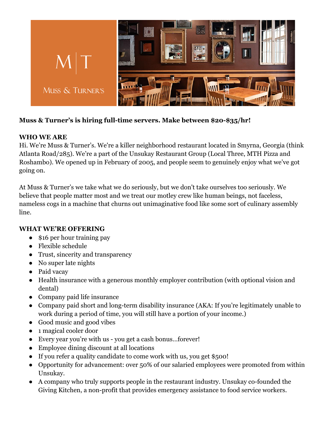

## **Muss & Turner's is hiring full-time servers. Make between \$20-\$35/hr!**

## **WHO WE ARE**

Hi. We're Muss & Turner's. We're a killer neighborhood restaurant located in Smyrna, Georgia (think Atlanta Road/285). We're a part of the Unsukay Restaurant Group (Local Three, MTH Pizza and Roshambo). We opened up in February of 2005, and people seem to genuinely enjoy what we've got going on.

At Muss & Turner's we take what we do seriously, but we don't take ourselves too seriously. We believe that people matter most and we treat our motley crew like human beings, not faceless, nameless cogs in a machine that churns out unimaginative food like some sort of culinary assembly line.

## **WHAT WE'RE OFFERING**

- \$16 per hour training pay
- Flexible schedule
- Trust, sincerity and transparency
- No super late nights
- Paid vacay
- Health insurance with a generous monthly employer contribution (with optional vision and dental)
- Company paid life insurance
- Company paid short and long-term disability insurance (AKA: If you're legitimately unable to work during a period of time, you will still have a portion of your income.)
- Good music and good vibes
- 1 magical cooler door
- Every year you're with us you get a cash bonus…forever!
- Employee dining discount at all locations
- If you refer a quality candidate to come work with us, you get \$500!
- Opportunity for advancement: over 50% of our salaried employees were promoted from within Unsukay.
- A company who truly supports people in the restaurant industry. Unsukay co-founded the Giving Kitchen, a non-profit that provides emergency assistance to food service workers.